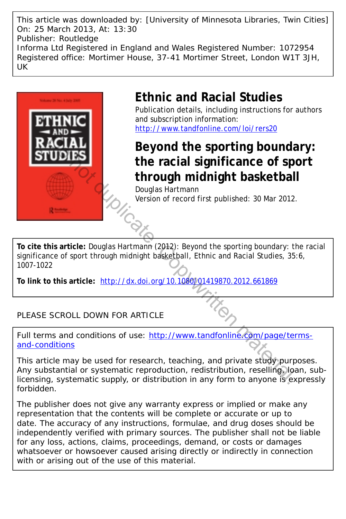This article was downloaded by: [University of Minnesota Libraries, Twin Cities] On: 25 March 2013, At: 13:30 Publisher: Routledge Informa Ltd Registered in England and Wales Registered Number: 1072954 Registered office: Mortimer House, 37-41 Mortimer Street, London W1T 3JH, UK



## **Ethnic and Racial Studies**

Publication details, including instructions for authors and subscription information: <http://www.tandfonline.com/loi/rers20>

**Beyond the sporting boundary: the racial significance of sport**

**through midnight basketball**<br>Douglas Hartmann<br>Version of record first published: 30 Mar 2012. Douglas Hartmann Version of record first published: 30 Mar 2012.

**To cite this article:** Douglas Hartmann (2012): Beyond the sporting boundary: the racial significance of sport through midnight basketball, Ethnic and Racial Studies, 35:6, 1007-1022

**To link to this article:** http://dx.doi.org/10.1080/01419870.2012.661869

## PLEASE SCROLL DOWN FOR ARTICLE

Full terms and conditions of use: [http://www.tandfonline.com/page/terms](http://www.tandfonline.com/page/terms-and-conditions)[and-conditions](http://www.tandfonline.com/page/terms-and-conditions)

This article may be used for research, teaching, and private study purposes. Any substantial or systematic reproduction, redistribution, reselling, loan, sublicensing, systematic supply, or distribution in any form to anyone is expressly forbidden. Beyond the sporting bounds<br>
the racial significance of sp<br>
through midnight basketbal<br>
Douglas Hartmann<br>
Version of record first published: 30 Mar 2012<br>
Nextrigon of record first published: 30 Mar 2012<br>
Max. Action of reco

The publisher does not give any warranty express or implied or make any representation that the contents will be complete or accurate or up to date. The accuracy of any instructions, formulae, and drug doses should be independently verified with primary sources. The publisher shall not be liable for any loss, actions, claims, proceedings, demand, or costs or damages whatsoever or howsoever caused arising directly or indirectly in connection with or arising out of the use of this material.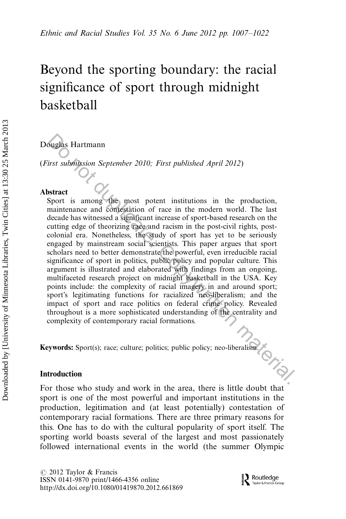# Beyond the sporting boundary: the racial significance of sport through midnight basketball

Douglas Hartmann

(First submission September 2010; First published April 2012)

#### Abstract

Sport is among the most potent institutions in the production, maintenance and contestation of race in the modern world. The last decade has witnessed a significant increase of sport-based research on the cutting edge of theorizing race and racism in the post-civil rights, postcolonial era. Nonetheless, the study of sport has yet to be seriously engaged by mainstream social scientists. This paper argues that sport scholars need to better demonstrate the powerful, even irreducible racial significance of sport in politics, public policy and popular culture. This argument is illustrated and elaborated with findings from an ongoing, multifaceted research project on midnight basketball in the USA. Key points include: the complexity of racial imagery in and around sport; sport's legitimating functions for racialized neo-liberalism; and the impact of sport and race politics on federal crime policy. Revealed throughout is a more sophisticated understanding of the centrality and complexity of contemporary racial formations. **Sughts Hartmann**<br>
Sughter State Theorem September 2010; First published April 2012)<br>
Stract<br>
Stract<br>
Stract<br>
Stract<br>
manitenance and comessition of race in the modern world. The last<br>
decade has witnessed a significant in

Keywords: Sport(s); race; culture; politics; public policy; neo-liberalism.

#### Introduction

For those who study and work in the area, there is little doubt that sport is one of the most powerful and important institutions in the production, legitimation and (at least potentially) contestation of contemporary racial formations. There are three primary reasons for this. One has to do with the cultural popularity of sport itself. The sporting world boasts several of the largest and most passionately followed international events in the world (the summer Olympic

 $\circ$  2012 Taylor & Francis ISSN 0141-9870 print/1466-4356 online <http://dx.doi.org/10.1080/01419870.2012.661869>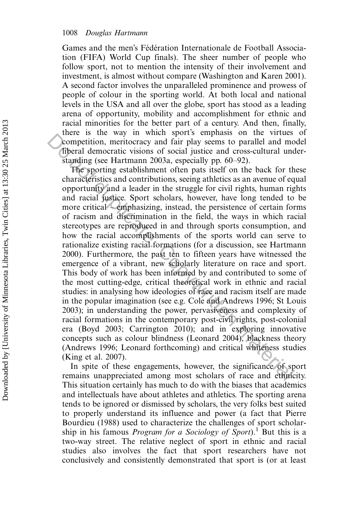Games and the men's Fédération Internationale de Football Association (FIFA) World Cup finals). The sheer number of people who follow sport, not to mention the intensity of their involvement and investment, is almost without compare (Washington and Karen 2001). A second factor involves the unparalleled prominence and prowess of people of colour in the sporting world. At both local and national levels in the USA and all over the globe, sport has stood as a leading arena of opportunity, mobility and accomplishment for ethnic and racial minorities for the better part of a century. And then, finally, there is the way in which sport's emphasis on the virtues of competition, meritocracy and fair play seems to parallel and model liberal democratic visions of social justice and cross-cultural understanding (see Hartmann 2003a, especially pp.  $60-92$ ).

The sporting establishment often pats itself on the back for these characteristics and contributions, seeing athletics as an avenue of equal opportunity and a leader in the struggle for civil rights, human rights and racial justice. Sport scholars, however, have long tended to be more critical – emphasizing, instead, the persistence of certain forms of racism and discrimination in the field, the ways in which racial stereotypes are reproduced in and through sports consumption, and how the racial accomplishments of the sports world can serve to rationalize existing racial formations (for a discussion, see Hartmann 2000). Furthermore, the past ten to fifteen years have witnessed the emergence of a vibrant, new scholarly literature on race and sport. This body of work has been informed by and contributed to some of the most cutting-edge, critical theoretical work in ethnic and racial studies: in analysing how ideologies of race and racism itself are made in the popular imagination (see e.g. Cole and Andrews 1996; St Louis 2003); in understanding the power, pervasiveness and complexity of racial formations in the contemporary post-civil rights, post-colonial era (Boyd 2003; Carrington 2010); and in exploring innovative concepts such as colour blindness (Leonard 2004), blackness theory (Andrews 1996; Leonard forthcoming) and critical whiteness studies (King et al. 2007). competition, meritorary and rain-spots competition, meritorary and fair play seems to parallel and moleculate the competition, meritorary and fair play seems to parallel and moleculate and consequence of social justice and

In spite of these engagements, however, the significance of sport remains unappreciated among most scholars of race and ethnicity. This situation certainly has much to do with the biases that academics and intellectuals have about athletes and athletics. The sporting arena tends to be ignored or dismissed by scholars, the very folks best suited to properly understand its influence and power (a fact that Pierre Bourdieu (1988) used to characterize the challenges of sport scholarship in his famous *Program for a Sociology of Sport*).<sup>1</sup> But this is a two-way street. The relative neglect of sport in ethnic and racial studies also involves the fact that sport researchers have not conclusively and consistently demonstrated that sport is (or at least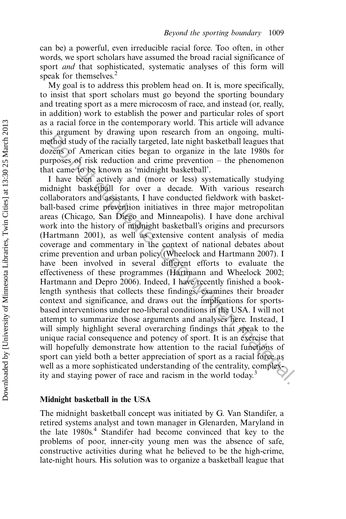can be) a powerful, even irreducible racial force. Too often, in other words, we sport scholars have assumed the broad racial significance of sport *and* that sophisticated, systematic analyses of this form will speak for themselves.<sup>2</sup>

My goal is to address this problem head on. It is, more specifically, to insist that sport scholars must go beyond the sporting boundary and treating sport as a mere microcosm of race, and instead (or, really, in addition) work to establish the power and particular roles of sport as a racial force in the contemporary world. This article will advance this argument by drawing upon research from an ongoing, multimethod study of the racially targeted, late night basketball leagues that dozens of American cities began to organize in the late 1980s for purposes of risk reduction and crime prevention  $-$  the phenomenon that came to be known as 'midnight basketball'.

I have been actively and (more or less) systematically studying midnight basketball for over a decade. With various research collaborators and assistants, I have conducted fieldwork with basketball-based crime prevention initiatives in three major metropolitan areas (Chicago, San Diego and Minneapolis). I have done archival work into the history of midnight basketball's origins and precursors (Hartmann 2001), as well as extensive content analysis of media coverage and commentary in the context of national debates about crime prevention and urban policy (Wheelock and Hartmann 2007). I have been involved in several different efforts to evaluate the effectiveness of these programmes (Hartmann and Wheelock 2002; Hartmann and Depro 2006). Indeed, I have recently finished a booklength synthesis that collects these findings, examines their broader context and significance, and draws out the implications for sportsbased interventions under neo-liberal conditions in the USA. I will not attempt to summarize those arguments and analyses here. Instead, I will simply highlight several overarching findings that speak to the unique racial consequence and potency of sport. It is an exercise that will hopefully demonstrate how attention to the racial functions of sport can yield both a better appreciation of sport as a racial force as well as a more sophisticated understanding of the centrality, complexity and staying power of race and racism in the world today.<sup>3</sup> is any<br>anothed study of the racially targeted, late night basketball leagues that<br> $\chi$  noting the racially targeted, late night basketball leagues that<br> $\chi$ <br>empsoses of risk reduction and crime prevention – the phenomenon

#### Midnight basketball in the USA

The midnight basketball concept was initiated by G. Van Standifer, a retired systems analyst and town manager in Glenarden, Maryland in the late 1980s.<sup>4</sup> Standifer had become convinced that key to the problems of poor, inner-city young men was the absence of safe, constructive activities during what he believed to be the high-crime, late-night hours. His solution was to organize a basketball league that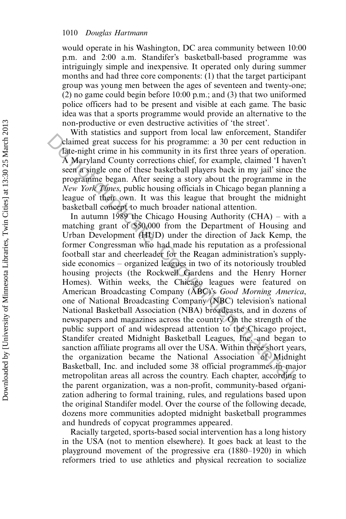would operate in his Washington, DC area community between 10:00 p.m. and 2:00 a.m. Standifer's basketball-based programme was intriguingly simple and inexpensive. It operated only during summer months and had three core components: (1) that the target participant group was young men between the ages of seventeen and twenty-one; (2) no game could begin before 10:00 p.m.; and (3) that two uniformed police officers had to be present and visible at each game. The basic idea was that a sports programme would provide an alternative to the non-productive or even destructive activities of 'the street'.

With statistics and support from local law enforcement, Standifer claimed great success for his programme: a 30 per cent reduction in late-night crime in his community in its first three years of operation. A Maryland County corrections chief, for example, claimed 'I haven't seen a single one of these basketball players back in my jail' since the programme began. After seeing a story about the programme in the New York Times, public housing officials in Chicago began planning a league of their own. It was this league that brought the midnight basketball concept to much broader national attention.

In autumn 1989 the Chicago Housing Authority (CHA) – with a matching grant of \$50,000 from the Department of Housing and Urban Development (HUD) under the direction of Jack Kemp, the former Congressman who had made his reputation as a professional football star and cheerleader for the Reagan administration's supplyside economics – organized leagues in two of its notoriously troubled housing projects (the Rockwell Gardens and the Henry Horner Homes). Within weeks, the Chicago leagues were featured on American Broadcasting Company (ABC)'s Good Morning America, one of National Broadcasting Company (NBC) television's national National Basketball Association (NBA) broadcasts, and in dozens of newspapers and magazines across the country. On the strength of the public support of and widespread attention to the Chicago project, Standifer created Midnight Basketball Leagues, Inc. and began to sanction affiliate programs all over the USA. Within three short years, the organization became the National Association of Midnight Basketball, Inc. and included some 38 official programmes in major metropolitan areas all across the country. Each chapter, according to the parent organization, was a non-profit, community-based organization adhering to formal training, rules, and regulations based upon the original Standifer model. Over the course of the following decade, dozens more communities adopted midnight basketball programmes and hundreds of copycat programmes appeared. Valim statistics and supper from focal faw inforcement, band<br>dianed great states. For however, both control date-night crime in his community in its first three years of operation<br>A Maryland County corrections chief, for e

Racially targeted, sports-based social intervention has a long history in the USA (not to mention elsewhere). It goes back at least to the playground movement of the progressive era  $(1880-1920)$  in which reformers tried to use athletics and physical recreation to socialize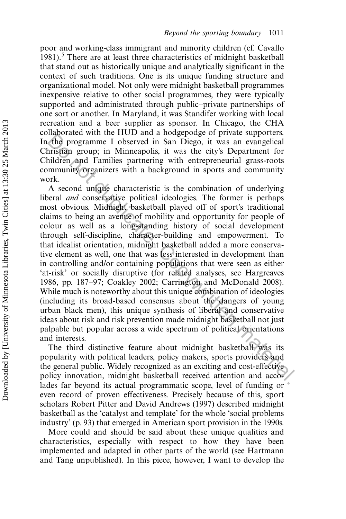poor and working-class immigrant and minority children (cf. Cavallo 1981).<sup>5</sup> There are at least three characteristics of midnight basketball that stand out as historically unique and analytically significant in the context of such traditions. One is its unique funding structure and organizational model. Not only were midnight basketball programmes inexpensive relative to other social programmes, they were typically supported and administrated through public-private partnerships of one sort or another. In Maryland, it was Standifer working with local recreation and a beer supplier as sponsor. In Chicago, the CHA collaborated with the HUD and a hodgepodge of private supporters. In the programme I observed in San Diego, it was an evangelical Christian group; in Minneapolis, it was the city's Department for Children and Families partnering with entrepreneurial grass-roots community organizers with a background in sports and community work.

A second unique characteristic is the combination of underlying liberal and conservative political ideologies. The former is perhaps most obvious. Midnight basketball played off of sport's traditional claims to being an avenue of mobility and opportunity for people of colour as well as a long-standing history of social development through self-discipline, character-building and empowerment. To that idealist orientation, midnight basketball added a more conservative element as well, one that was less interested in development than in controlling and/or containing populations that were seen as either 'at-risk' or socially disruptive (for related analyses, see Hargreaves 1986, pp. 187–97; Coakley 2002; Carrington and McDonald 2008). While much is noteworthy about this unique combination of ideologies (including its broad-based consensus about the dangers of young urban black men), this unique synthesis of liberal and conservative ideas about risk and risk prevention made midnight basketball not just palpable but popular across a wide spectrum of political orientations and interests. doconate with the Copyrole of the programme I observed in San Diego, it was an evappelical<br>tristfan group; in Minneapolis, it was the city's Department for<br>inferred and Families partnering with entrepreneurial grass-roots<br>

The third distinctive feature about midnight basketball was its popularity with political leaders, policy makers, sports providers and the general public. Widely recognized as an exciting and cost-effective policy innovation, midnight basketball received attention and accolades far beyond its actual programmatic scope, level of funding or even record of proven effectiveness. Precisely because of this, sport scholars Robert Pitter and David Andrews (1997) described midnight basketball as the 'catalyst and template' for the whole 'social problems industry' (p. 93) that emerged in American sport provision in the 1990s.

More could and should be said about these unique qualities and characteristics, especially with respect to how they have been implemented and adapted in other parts of the world (see Hartmann and Tang unpublished). In this piece, however, I want to develop the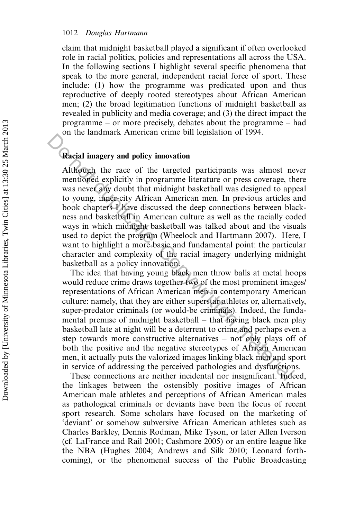#### 1012 Douglas Hartmann

claim that midnight basketball played a significant if often overlooked role in racial politics, policies and representations all across the USA. In the following sections I highlight several specific phenomena that speak to the more general, independent racial force of sport. These include: (1) how the programme was predicated upon and thus reproductive of deeply rooted stereotypes about African American men; (2) the broad legitimation functions of midnight basketball as revealed in publicity and media coverage; and (3) the direct impact the programme  $-$  or more precisely, debates about the programme  $-$  had on the landmark American crime bill legislation of 1994.

#### Racial imagery and policy innovation

Although the race of the targeted participants was almost never mentioned explicitly in programme literature or press coverage, there was never any doubt that midnight basketball was designed to appeal to young, inner-city African American men. In previous articles and book chapters I have discussed the deep connections between blackness and basketball in American culture as well as the racially coded ways in which midnight basketball was talked about and the visuals used to depict the program (Wheelock and Hartmann 2007). Here, I want to highlight a more basic and fundamental point: the particular character and complexity of the racial imagery underlying midnight basketball as a policy innovation. **Compare the summarise of the summarises** and policy innovation<br> **Although** the race of the targeted participants was almost ne<br>
mentioned explicitly in programme literature or press coverage, the<br>
was never any doubt that

The idea that having young black men throw balls at metal hoops would reduce crime draws together two of the most prominent images/ representations of African American men in contemporary American culture: namely, that they are either superstar athletes or, alternatively, super-predator criminals (or would-be criminals). Indeed, the fundamental premise of midnight basketball  $-$  that having black men play basketball late at night will be a deterrent to crime and perhaps even a step towards more constructive alternatives  $-$  not only plays off of both the positive and the negative stereotypes of African American men, it actually puts the valorized images linking black men and sport in service of addressing the perceived pathologies and dysfunctions.

These connections are neither incidental nor insignificant. Indeed, the linkages between the ostensibly positive images of African American male athletes and perceptions of African American males as pathological criminals or deviants have been the focus of recent sport research. Some scholars have focused on the marketing of 'deviant' or somehow subversive African American athletes such as Charles Barkley, Dennis Rodman, Mike Tyson, or later Allen Iverson (cf. LaFrance and Rail 2001; Cashmore 2005) or an entire league like the NBA (Hughes 2004; Andrews and Silk 2010; Leonard forthcoming), or the phenomenal success of the Public Broadcasting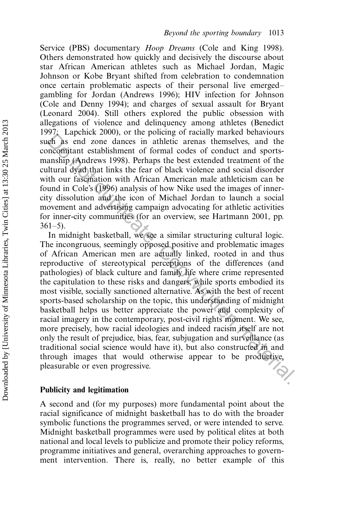Service (PBS) documentary *Hoop Dreams* (Cole and King 1998). Others demonstrated how quickly and decisively the discourse about star African American athletes such as Michael Jordan, Magic Johnson or Kobe Bryant shifted from celebration to condemnation once certain problematic aspects of their personal live emerged gambling for Jordan (Andrews 1996); HIV infection for Johnson (Cole and Denny 1994); and charges of sexual assault for Bryant (Leonard 2004). Still others explored the public obsession with allegations of violence and delinquency among athletes (Benedict 1997; Lapchick 2000), or the policing of racially marked behaviours such as end zone dances in athletic arenas themselves, and the concomitant establishment of formal codes of conduct and sportsmanship (Andrews 1998). Perhaps the best extended treatment of the cultural dyad that links the fear of black violence and social disorder with our fascination with African American male athleticism can be found in Cole's (1996) analysis of how Nike used the images of innercity dissolution and the icon of Michael Jordan to launch a social movement and advertising campaign advocating for athletic activities for inner-city communities (for an overview, see Hartmann 2001, pp.  $361-5$ ).

In midnight basketball, we see a similar structuring cultural logic. The incongruous, seemingly opposed positive and problematic images of African American men are actually linked, rooted in and thus reproductive of stereotypical perceptions of the differences (and pathologies) of black culture and family life where crime represented the capitulation to these risks and dangers, while sports embodied its most visible, socially sanctioned alternative. As with the best of recent sports-based scholarship on the topic, this understanding of midnight basketball helps us better appreciate the power and complexity of racial imagery in the contemporary, post-civil rights moment. We see, more precisely, how racial ideologies and indeed racism itself are not only the result of prejudice, bias, fear, subjugation and surveillance (as traditional social science would have it), but also constructed in and through images that would otherwise appear to be productive, pleasurable or even progressive. pleasurable or even progressive. 26. Explora 2000, or in policing of radial marked current and the production and the meaning mathed are and the meaning of a conduct and sports-<br>Itural dyad that links the fear of black victoince and social the itural dya

#### Publicity and legitimation

A second and (for my purposes) more fundamental point about the racial significance of midnight basketball has to do with the broader symbolic functions the programmes served, or were intended to serve. Midnight basketball programmes were used by political elites at both national and local levels to publicize and promote their policy reforms, programme initiatives and general, overarching approaches to government intervention. There is, really, no better example of this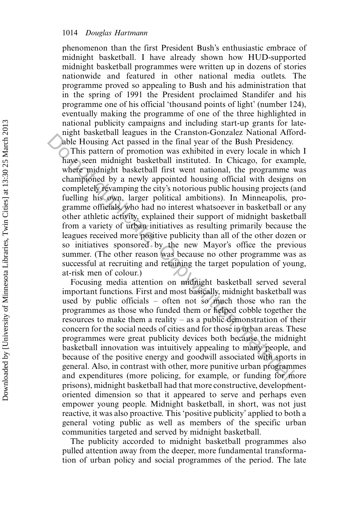phenomenon than the first President Bush's enthusiastic embrace of midnight basketball. I have already shown how HUD-supported midnight basketball programmes were written up in dozens of stories nationwide and featured in other national media outlets. The programme proved so appealing to Bush and his administration that in the spring of 1991 the President proclaimed Standifer and his programme one of his official 'thousand points of light' (number 124), eventually making the programme of one of the three highlighted in national publicity campaigns and including start-up grants for latenight basketball leagues in the Cranston-Gonzalez National Affordable Housing Act passed in the final year of the Bush Presidency.

This pattern of promotion was exhibited in every locale in which I have seen midnight basketball instituted. In Chicago, for example, where midnight basketball first went national, the programme was championed by a newly appointed housing official with designs on completely revamping the city's notorious public housing projects (and fuelling his own, larger political ambitions). In Minneapolis, programme officials, who had no interest whatsoever in basketball or any other athletic activity, explained their support of midnight basketball from a variety of urban initiatives as resulting primarily because the leagues received more positive publicity than all of the other dozen or so initiatives sponsored by the new Mayor's office the previous summer. (The other reason was because no other programme was as successful at recruiting and retaining the target population of young, at-risk men of colour.) Mant casecous an extension of container and container and container and comparation based in the final year of the Bush Presidency. This pattern of promotion was exhibited in every locale in which where midnight basketball

Focusing media attention on midnight basketball served several important functions. First and most basically, midnight basketball was used by public officials  $-$  often not so much those who ran the programmes as those who funded them or helped cobble together the resources to make them a reality  $-$  as a public demonstration of their concern for the social needs of cities and for those in urban areas. These programmes were great publicity devices both because the midnight basketball innovation was intuitively appealing to many people, and because of the positive energy and goodwill associated with sports in general. Also, in contrast with other, more punitive urban programmes and expenditures (more policing, for example, or funding for more prisons), midnight basketball had that more constructive, developmentoriented dimension so that it appeared to serve and perhaps even empower young people. Midnight basketball, in short, was not just reactive, it was also proactive. This 'positive publicity' applied to both a general voting public as well as members of the specific urban communities targeted and served by midnight basketball.

The publicity accorded to midnight basketball programmes also pulled attention away from the deeper, more fundamental transformation of urban policy and social programmes of the period. The late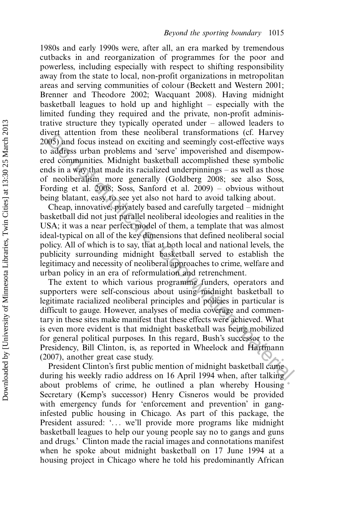1980s and early 1990s were, after all, an era marked by tremendous cutbacks in and reorganization of programmes for the poor and powerless, including especially with respect to shifting responsibility away from the state to local, non-profit organizations in metropolitan areas and serving communities of colour (Beckett and Western 2001; Brenner and Theodore 2002; Wacquant 2008). Having midnight basketball leagues to hold up and highlight  $-$  especially with the limited funding they required and the private, non-profit administrative structure they typically operated under  $-$  allowed leaders to divert attention from these neoliberal transformations (cf. Harvey 2005) and focus instead on exciting and seemingly cost-effective ways to address urban problems and 'serve' impoverished and disempowered communities. Midnight basketball accomplished these symbolic ends in a way that made its racialized underpinnings  $-$  as well as those of neoliberalism more generally (Goldberg 2008; see also Soss, Fording et al.  $2008$ ; Soss, Sanford et al.  $2009$ ) – obvious without being blatant, easy to see yet also not hard to avoid talking about.

Cheap, innovative, privately based and carefully targeted – midnight basketball did not just parallel neoliberal ideologies and realities in the USA; it was a near perfect model of them, a template that was almost ideal-typical on all of the key dimensions that defined neoliberal social policy. All of which is to say, that at both local and national levels, the publicity surrounding midnight basketball served to establish the legitimacy and necessity of neoliberal approaches to crime, welfare and urban policy in an era of reformulation and retrenchment.

The extent to which various programme funders, operators and supporters were self-conscious about using midnight basketball to legitimate racialized neoliberal principles and policies in particular is difficult to gauge. However, analyses of media coverage and commentary in these sites make manifest that these effects were achieved. What is even more evident is that midnight basketball was being mobilized for general political purposes. In this regard, Bush's successor to the Presidency, Bill Clinton, is, as reported in Wheelock and Hartmann (2007), another great case study. For actualized not must be incoluted under the section of the section of the most parameteris. Michight basketball accomplished these symbolic ds in a way that made its racialized underpinings – as well as those nonlinear

President Clinton's first public mention of midnight basketball came during his weekly radio address on 16 April 1994 when, after talking about problems of crime, he outlined a plan whereby Housing Secretary (Kemp's successor) Henry Cisneros would be provided with emergency funds for 'enforcement and prevention' in ganginfested public housing in Chicago. As part of this package, the President assured: '... we'll provide more programs like midnight basketball leagues to help our young people say no to gangs and guns and drugs.' Clinton made the racial images and connotations manifest when he spoke about midnight basketball on 17 June 1994 at a housing project in Chicago where he told his predominantly African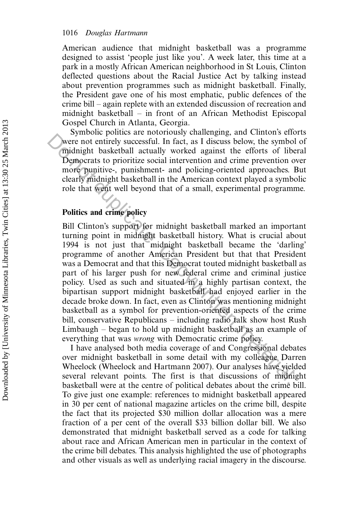American audience that midnight basketball was a programme designed to assist 'people just like you'. A week later, this time at a park in a mostly African American neighborhood in St Louis, Clinton deflected questions about the Racial Justice Act by talking instead about prevention programmes such as midnight basketball. Finally, the President gave one of his most emphatic, public defences of the crime bill – again replete with an extended discussion of recreation and midnight basketball  $-$  in front of an African Methodist Episcopal Gospel Church in Atlanta, Georgia.

Symbolic politics are notoriously challenging, and Clinton's efforts were not entirely successful. In fact, as I discuss below, the symbol of midnight basketball actually worked against the efforts of liberal Democrats to prioritize social intervention and crime prevention over more punitive-, punishment- and policing-oriented approaches. But clearly midnight basketball in the American context played a symbolic role that went well beyond that of a small, experimental programme.

### Politics and crime policy

Bill Clinton's support for midnight basketball marked an important turning point in midnight basketball history. What is crucial about 1994 is not just that midnight basketball became the 'darling' programme of another American President but that that President was a Democrat and that this Democrat touted midnight basketball as part of his larger push for new federal crime and criminal justice policy. Used as such and situated in a highly partisan context, the bipartisan support midnight basketball had enjoyed earlier in the decade broke down. In fact, even as Clinton was mentioning midnight basketball as a symbol for prevention-oriented aspects of the crime bill, conservative Republicans – including radio talk show host Rush Limbaugh  $-$  began to hold up midnight basketball as an example of everything that was wrong with Democratic crime policy. symbol motions are motionload vanding and criminal and components to prioritize social intervantion and crime prevailing more particular that the efforts of liberation and crime prevailing the same more punitive-, punishme

I have analysed both media coverage of and Congressional debates over midnight basketball in some detail with my colleague Darren Wheelock (Wheelock and Hartmann 2007). Our analyses have yielded several relevant points. The first is that discussions of midnight basketball were at the centre of political debates about the crime bill. To give just one example: references to midnight basketball appeared in 30 per cent of national magazine articles on the crime bill, despite the fact that its projected \$30 million dollar allocation was a mere fraction of a per cent of the overall \$33 billion dollar bill. We also demonstrated that midnight basketball served as a code for talking about race and African American men in particular in the context of the crime bill debates. This analysis highlighted the use of photographs and other visuals as well as underlying racial imagery in the discourse.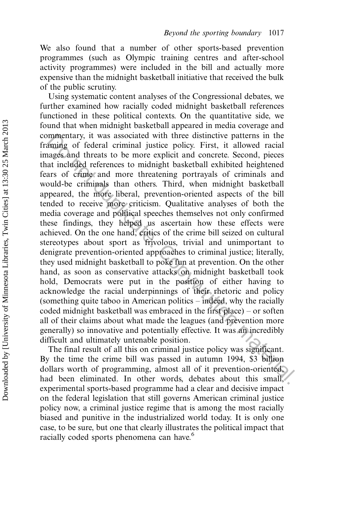We also found that a number of other sports-based prevention programmes (such as Olympic training centres and after-school activity programmes) were included in the bill and actually more expensive than the midnight basketball initiative that received the bulk of the public scrutiny.

Using systematic content analyses of the Congressional debates, we further examined how racially coded midnight basketball references functioned in these political contexts. On the quantitative side, we found that when midnight basketball appeared in media coverage and commentary, it was associated with three distinctive patterns in the framing of federal criminal justice policy. First, it allowed racial images and threats to be more explicit and concrete. Second, pieces that included references to midnight basketball exhibited heightened fears of crime and more threatening portrayals of criminals and would-be criminals than others. Third, when midnight basketball appeared, the more liberal, prevention-oriented aspects of the bill tended to receive more criticism. Qualitative analyses of both the media coverage and political speeches themselves not only confirmed these findings, they helped us ascertain how these effects were achieved. On the one hand, critics of the crime bill seized on cultural stereotypes about sport as frivolous, trivial and unimportant to denigrate prevention-oriented approaches to criminal justice; literally, they used midnight basketball to poke fun at prevention. On the other hand, as soon as conservative attacks on midnight basketball took hold, Democrats were put in the position of either having to acknowledge the racial underpinnings of their rhetoric and policy (something quite taboo in American politics  $-$  indeed, why the racially coded midnight basketball was embraced in the first place)  $-$  or soften all of their claims about what made the leagues (and prevention more generally) so innovative and potentially effective. It was an incredibly difficult and ultimately untenable position. mmentary, it was associated with three distinctive patterns in the manigo of federal criminal justice policy. First, it allowed racial anges and threast to be more explicit and concrete. Second, pieces at included referenc

The final result of all this on criminal justice policy was significant. By the time the crime bill was passed in autumn 1994, \$3 billion dollars worth of programming, almost all of it prevention-oriented, had been eliminated. In other words, debates about this small, experimental sports-based programme had a clear and decisive impact on the federal legislation that still governs American criminal justice policy now, a criminal justice regime that is among the most racially biased and punitive in the industrialized world today. It is only one case, to be sure, but one that clearly illustrates the political impact that racially coded sports phenomena can have.<sup>6</sup>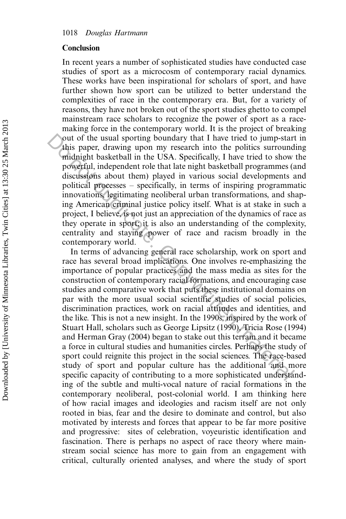#### Conclusion

In recent years a number of sophisticated studies have conducted case studies of sport as a microcosm of contemporary racial dynamics. These works have been inspirational for scholars of sport, and have further shown how sport can be utilized to better understand the complexities of race in the contemporary era. But, for a variety of reasons, they have not broken out of the sport studies ghetto to compel mainstream race scholars to recognize the power of sport as a racemaking force in the contemporary world. It is the project of breaking out of the usual sporting boundary that I have tried to jump-start in this paper, drawing upon my research into the politics surrounding midnight basketball in the USA. Specifically, I have tried to show the powerful, independent role that late night basketball programmes (and discussions about them) played in various social developments and political processes specifically, in terms of inspiring programmatic innovations, legitimating neoliberal urban transformations, and shaping American criminal justice policy itself. What is at stake in such a project, I believe, is not just an appreciation of the dynamics of race as they operate in sport; it is also an understanding of the complexity, centrality and staying power of race and racism broadly in the contemporary world.

In terms of advancing general race scholarship, work on sport and race has several broad implications. One involves re-emphasizing the importance of popular practices and the mass media as sites for the construction of contemporary racial formations, and encouraging case studies and comparative work that puts these institutional domains on par with the more usual social scientific studies of social policies, discrimination practices, work on racial attitudes and identities, and the like. This is not a new insight. In the 1990s, inspired by the work of Stuart Hall, scholars such as George Lipsitz (1990), Tricia Rose (1994) and Herman Gray (2004) began to stake out this terrain and it became a force in cultural studies and humanities circles. Perhaps the study of sport could reignite this project in the social sciences. The race-based study of sport and popular culture has the additional and more specific capacity of contributing to a more sophisticated understanding of the subtle and multi-vocal nature of racial formations in the contemporary neoliberal, post-colonial world. I am thinking here of how racial images and ideologies and racism itself are not only rooted in bias, fear and the desire to dominate and control, but also motivated by interests and forces that appear to be far more positive and progressive: sites of celebration, voyeuristic identification and fascination. There is perhaps no aspect of race theory where mainstream social science has more to gain from an engagement with critical, culturally oriented analyses, and where the study of sport out of the usual sporting boundary that I have tried to jump-start<br>this paper, drawing upon my research into the politics surround<br>midnight basketball in the USA. Specifically, I have tried to show<br>powerful, independent ro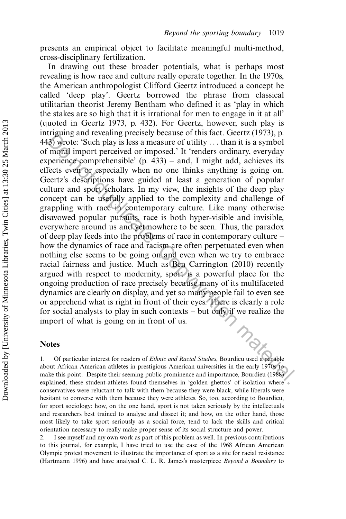presents an empirical object to facilitate meaningful multi-method, cross-disciplinary fertilization.

In drawing out these broader potentials, what is perhaps most revealing is how race and culture really operate together. In the 1970s, the American anthropologist Clifford Geertz introduced a concept he called 'deep play'. Geertz borrowed the phrase from classical utilitarian theorist Jeremy Bentham who defined it as 'play in which the stakes are so high that it is irrational for men to engage in it at all' (quoted in Geertz 1973, p. 432). For Geertz, however, such play is intriguing and revealing precisely because of this fact. Geertz (1973), p. 443) wrote: 'Such play is less a measure of utility ... than it is a symbol of moral import perceived or imposed.' It 'renders ordinary, everyday experience comprehensible' (p.  $433$ ) – and, I might add, achieves its effects even or especially when no one thinks anything is going on. Geertz's descriptions have guided at least a generation of popular culture and sport scholars. In my view, the insights of the deep play concept can be usefully applied to the complexity and challenge of grappling with race in contemporary culture. Like many otherwise disavowed popular pursuits, race is both hyper-visible and invisible, everywhere around us and yet nowhere to be seen. Thus, the paradox of deep play feeds into the problems of race in contemporary culture how the dynamics of race and racism are often perpetuated even when nothing else seems to be going on and even when we try to embrace racial fairness and justice. Much as Ben Carrington (2010) recently argued with respect to modernity, sport is a powerful place for the ongoing production of race precisely because many of its multifaceted dynamics are clearly on display, and yet so many people fail to even see or apprehend what is right in front of their eyes. There is clearly a role for social analysts to play in such contexts  $-$  but only if we realize the import of what is going on in front of us. Figure and revealing plents of mathematic increase of missing and eventually plent and the sample mathematic in the sample more different increase comprehensible (p. 433) – and, I might add, achieves its percieve comprehe

#### Notes

Of particular interest for readers of Ethnic and Racial Studies, Bourdieu used a parable about African American athletes in prestigious American universities in the early 1970s to make this point. Despite their seeming public prominence and importance, Bourdieu (1988) explained, these student-athletes found themselves in 'golden ghettos' of isolation where conservatives were reluctant to talk with them because they were black, while liberals were hesitant to converse with them because they were athletes. So, too, according to Bourdieu, for sport sociology: how, on the one hand, sport is not taken seriously by the intellectuals and researchers best trained to analyse and dissect it; and how, on the other hand, those most likely to take sport seriously as a social force, tend to lack the skills and critical orientation necessary to really make proper sense of its social structure and power.

2. I see myself and my own work as part of this problem as well. In previous contributions to this journal, for example, I have tried to use the case of the 1968 African American Olympic protest movement to illustrate the importance of sport as a site for racial resistance (Hartmann 1996) and have analysed C. L. R. James's masterpiece Beyond a Boundary to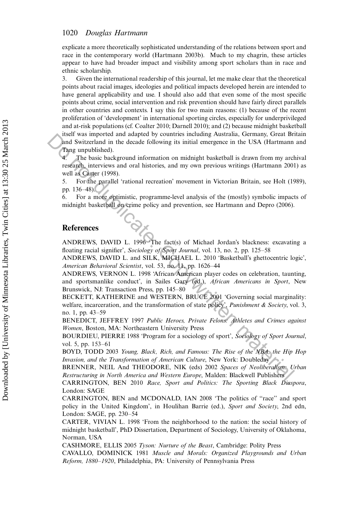#### 1020 Douglas Hartmann

explicate a more theoretically sophisticated understanding of the relations between sport and race in the contemporary world (Hartmann 2003b). Much to my chagrin, these articles appear to have had broader impact and visibility among sport scholars than in race and ethnic scholarship.

3. Given the international readership of this journal, let me make clear that the theoretical points about racial images, ideologies and political impacts developed herein are intended to have general applicability and use. I should also add that even some of the most specific points about crime, social intervention and risk prevention should have fairly direct parallels in other countries and contexts. I say this for two main reasons: (1) because of the recent proliferation of 'development' in international sporting circles, especially for underprivileged and at-risk populations (cf. Coalter 2010; Darnell 2010); and (2) because midnight basketball itself was imported and adapted by countries including Australia, Germany, Great Britain and Switzerland in the decade following its initial emergence in the USA (Hartmann and Tang unpublished).

4. The basic background information on midnight basketball is drawn from my archival research, interviews and oral histories, and my own previous writings (Hartmann 2001) as well as Carter (1998). The Matter and adeptote of the transformation of the reality of the Hilap matter and Switzerland in the decade following its initial energence in the USA (Hartmann Than Than underly the basic background information on midn

5. For the parallel 'rational recreation' movement in Victorian Britain, see Holt (1989), pp. 136-48).

6. For a more optimistic, programme-level analysis of the (mostly) symbolic impacts of midnight basketball on crime policy and prevention, see Hartmann and Depro (2006).

#### References

ANDREWS, DAVID L. 1996 'The fact(s) of Michael Jordan's blackness: excavating a floating racial signifier', Sociology of Sport Journal, vol. 13, no. 2, pp. 125–58

ANDREWS, DAVID L. and SILK, MICHAEL L. 2010 'Basketball's ghettocentric logic', American Behavioral Scientist, vol. 53, no. 11, pp. 1626-44

ANDREWS, VERNON L. 1998 'African American player codes on celebration, taunting, and sportsmanlike conduct', in Sailes Gary (ed.), African Americans in Sport, New Brunswick, NJ: Transaction Press, pp. 145-80

BECKETT, KATHERINE and WESTERN, BRUCE 2001 'Governing social marginality: welfare, incarceration, and the transformation of state policy', Punishment & Society, vol. 3, no. 1, pp. 43-59

BENEDICT, JEFFREY 1997 Public Heroes, Private Felons: Athletes and Crimes against Women, Boston, MA: Northeastern University Press

BOURDIEU, PIERRE 1988 'Program for a sociology of sport', Sociology of Sport Journal, vol. 5, pp. 153-61

BOYD, TODD 2003 Young, Black, Rich, and Famous: The Rise of the NBA, the Hip Hop Invasion, and the Transformation of American Culture, New York: Doubleday

BRENNER, NEIL And THEODORE, NIK (eds) 2002 Spaces of Neoliberalism: Urban Restructuring in North America and Western Europe, Malden: Blackwell Publishers

CARRINGTON, BEN 2010 Race, Sport and Politics: The Sporting Black Diaspora, London: SAGE

CARRINGTON, BEN and MCDONALD, IAN 2008 'The politics of ''race'' and sport policy in the United Kingdom', in Houlihan Barrie (ed.), Sport and Society, 2nd edn, London: SAGE, pp. 230-54

CARTER, VIVIAN L. 1998 'From the neighborhood to the nation: the social history of midnight basketball', PhD Dissertation, Department of Sociology, University of Oklahoma, Norman, USA

CASHMORE, ELLIS 2005 Tyson: Nurture of the Beast, Cambridge: Polity Press

CAVALLO, DOMINICK 1981 Muscle and Morals: Organized Playgrounds and Urban Reform, 1880-1920, Philadelphia, PA: University of Pennsylvania Press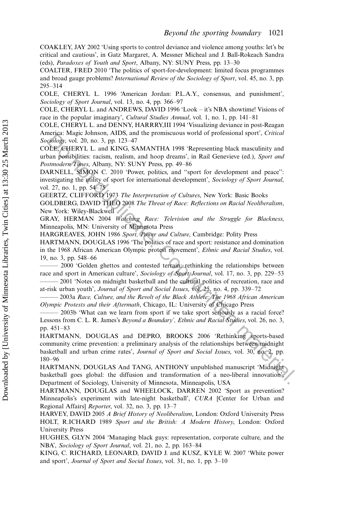COAKLEY, JAY 2002 'Using sports to control deviance and violence among youths: let's be critical and cautious', in Gatz Margaret, A. Messner Micheal and J. Ball-Rokeach Sandra (eds), Paradoxes of Youth and Sport, Albany, NY: SUNY Press, pp. 13-30

COALTER, FRED 2010 'The politics of sport-for-development: limited focus programmes and broad gauge problems? International Review of the Sociology of Sport, vol. 45, no. 3, pp. 295-314

COLE, CHERYL L. 1996 'American Jordan: P.L.A.Y., consensus, and punishment', Sociology of Sport Journal, vol. 13, no. 4, pp. 366–97

COLE, CHERYL L. and ANDREWS, DAVID 1996 'Look - it's NBA showtime! Visions of race in the popular imaginary', Cultural Studies Annual, vol. 1, no. 1, pp. 141-81

COLE, CHERYL L. and DENNY, HARRRY,III 1994 'Visualizing deviance in post-Reagan America: Magic Johnson, AIDS, and the promiscuous world of professional sport', Critical Sociology, vol. 20, no. 3, pp. 123-47

COLE, CHERYL L. and KING, SAMANTHA 1998 'Representing black masculinity and urban possibilities: racism, realism, and hoop dreams', in Rail Genevieve (ed.), Sport and Postmodern Times, Albany, NY: SUNY Press, pp. 49-86

DARNELL, SIMON C. 2010 'Power, politics, and ''sport for development and peace'': investigating the utility of sport for international development', Sociology of Sport Journal, vol. 27, no. 1, pp. 54–75

GEERTZ, CLIFFORD 1973 The Interpretation of Cultures, New York: Basic Books

GOLDBERG, DAVID THEO 2008 The Threat of Race: Reflections on Racial Neoliberalism, New York: Wiley-Blackwell

GRAY, HERMAN 2004 Watching Race: Television and the Struggle for Blackness, Minneapolis, MN: University of Minnesota Press

HARGREAVES, JOHN 1986 Sport, Power and Culture, Cambridge: Polity Press

HARTMANN, DOUGLAS 1996 'The politics of race and sport: resistance and domination in the 1968 African American Olympic protest movement', Ethnic and Racial Studies, vol. 19, no. 3, pp. 548–66

2000 'Golden ghettos and contested terrain: rethinking the relationships between race and sport in American culture', Sociology of Sport Journal, vol. 17, no. 3, pp. 229-53

<sup>2001</sup> 'Notes on midnight basketball and the cultural politics of recreation, race and at-risk urban youth', Journal of Sport and Social Issues, vol. 25, no. 4, pp. 339-72

- 2003a Race, Culture, and the Revolt of the Black Athlete: The 1968 African American Olympic Protests and their Aftermath, Chicago, IL: University of Chicago Press

2003b 'What can we learn from sport if we take sport seriously as a racial force? Lessons from C. L. R. James's Beyond a Boundary', Ethnic and Racial Studies, vol. 26, no. 3, pp. 451-83

HARTMANN, DOUGLAS and DEPRO, BROOKS 2006 'Rethinking sports-based community crime prevention: a preliminary analysis of the relationships between midnight basketball and urban crime rates', Journal of Sport and Social Issues, vol. 30, no. 2, pp. 180-96 Ethe RNA and the Poission Arios, and the Points. And The Points and Solidary of the September (1. Copywritten Like ( $\delta$ Bic September (1. Copywritten material based material based material based material of the Copywritte

HARTMANN, DOUGLAS And TANG, ANTHONY unpublished manuscript 'Midnight basketball goes global: the diffusion and transformation of a neo-liberal innovation', Department of Sociology, University of Minnesota, Minneapolis, USA

HARTMANN, DOUGLAS and WHEELOCK, DARREN 2002 'Sport as prevention? Minneapolis's experiment with late-night basketball', CURA [Center for Urban and Regional Affairs] Reporter, vol. 32, no. 3, pp. 13-7

HARVEY, DAVID 2005 A Brief History of Neoliberalism, London: Oxford University Press HOLT, R.ICHARD 1989 Sport and the British: A Modern History, London: Oxford University Press

HUGHES, GLYN 2004 'Managing black guys: representation, corporate culture, and the NBA', Sociology of Sport Journal, vol. 21, no. 2, pp. 163-84

KING, C. RICHARD, LEONARD, DAVID J. and KUSZ, KYLE W. 2007 'White power and sport', Journal of Sport and Social Issues, vol. 31, no. 1, pp. 3-10